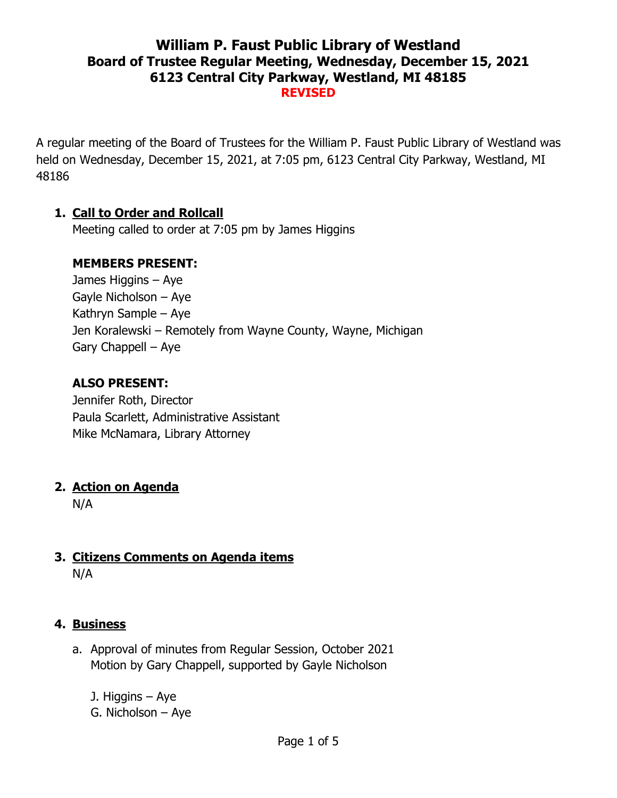## **William P. Faust Public Library of Westland Board of Trustee Regular Meeting, Wednesday, December 15, 2021 6123 Central City Parkway, Westland, MI 48185 REVISED**

A regular meeting of the Board of Trustees for the William P. Faust Public Library of Westland was held on Wednesday, December 15, 2021, at 7:05 pm, 6123 Central City Parkway, Westland, MI 48186

### **1. Call to Order and Rollcall**

Meeting called to order at 7:05 pm by James Higgins

#### **MEMBERS PRESENT:**

James Higgins – Aye Gayle Nicholson – Aye Kathryn Sample – Aye Jen Koralewski – Remotely from Wayne County, Wayne, Michigan Gary Chappell – Aye

### **ALSO PRESENT:**

Jennifer Roth, Director Paula Scarlett, Administrative Assistant Mike McNamara, Library Attorney

### **2. Action on Agenda**

N/A

### **3. Citizens Comments on Agenda items** N/A

### **4. Business**

a. Approval of minutes from Regular Session, October 2021 Motion by Gary Chappell, supported by Gayle Nicholson

J. Higgins – Aye G. Nicholson – Aye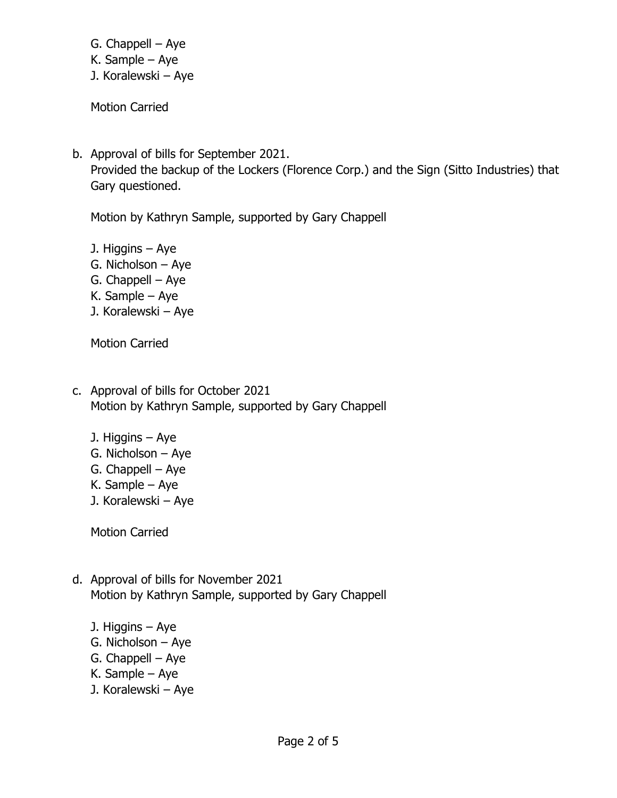- G. Chappell Aye
- K. Sample Aye
- J. Koralewski Aye

Motion Carried

b. Approval of bills for September 2021. Provided the backup of the Lockers (Florence Corp.) and the Sign (Sitto Industries) that Gary questioned.

Motion by Kathryn Sample, supported by Gary Chappell

J. Higgins – Aye G. Nicholson – Aye G. Chappell – Aye K. Sample – Aye J. Koralewski – Aye

Motion Carried

- c. Approval of bills for October 2021 Motion by Kathryn Sample, supported by Gary Chappell
	- J. Higgins Aye
	- G. Nicholson Aye
	- G. Chappell Aye
	- K. Sample Aye
	- J. Koralewski Aye

Motion Carried

- d. Approval of bills for November 2021 Motion by Kathryn Sample, supported by Gary Chappell
	- J. Higgins Aye
	- G. Nicholson Aye
	- G. Chappell Aye
	- K. Sample Aye
	- J. Koralewski Aye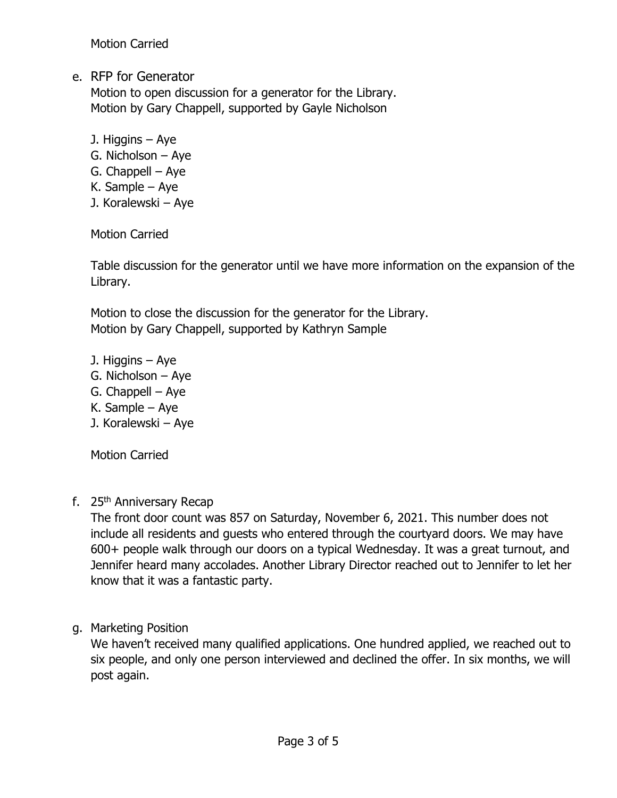Motion Carried

e. RFP for Generator

Motion to open discussion for a generator for the Library. Motion by Gary Chappell, supported by Gayle Nicholson

- J. Higgins Aye
- G. Nicholson Aye
- G. Chappell Aye
- K. Sample Aye
- J. Koralewski Aye

Motion Carried

Table discussion for the generator until we have more information on the expansion of the Library.

Motion to close the discussion for the generator for the Library. Motion by Gary Chappell, supported by Kathryn Sample

- J. Higgins Aye
- G. Nicholson Aye
- G. Chappell Aye
- K. Sample Aye
- J. Koralewski Aye

Motion Carried

f. 25<sup>th</sup> Anniversary Recap

The front door count was 857 on Saturday, November 6, 2021. This number does not include all residents and guests who entered through the courtyard doors. We may have 600+ people walk through our doors on a typical Wednesday. It was a great turnout, and Jennifer heard many accolades. Another Library Director reached out to Jennifer to let her know that it was a fantastic party.

g. Marketing Position

We haven't received many qualified applications. One hundred applied, we reached out to six people, and only one person interviewed and declined the offer. In six months, we will post again.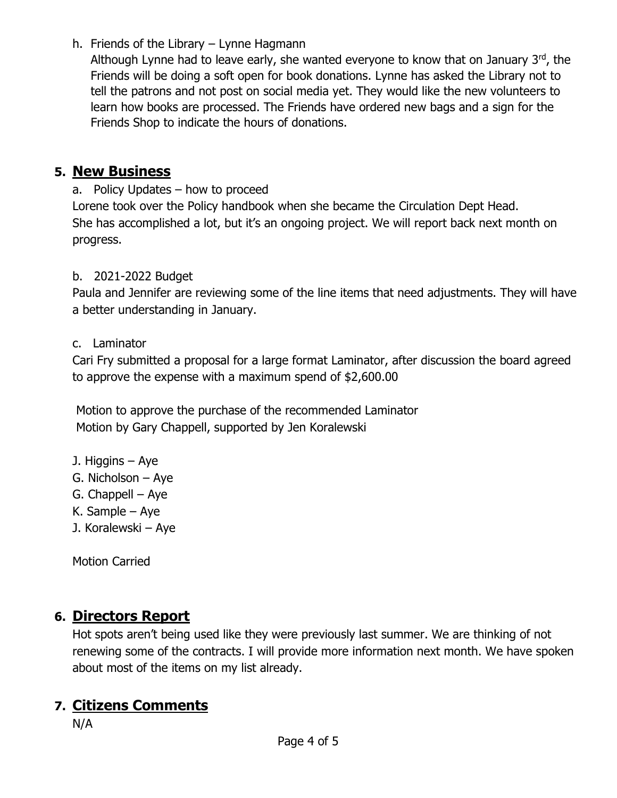h. Friends of the Library – Lynne Hagmann

Although Lynne had to leave early, she wanted everyone to know that on January  $3<sup>rd</sup>$ , the Friends will be doing a soft open for book donations. Lynne has asked the Library not to tell the patrons and not post on social media yet. They would like the new volunteers to learn how books are processed. The Friends have ordered new bags and a sign for the Friends Shop to indicate the hours of donations.

## **5. New Business**

a. Policy Updates – how to proceed Lorene took over the Policy handbook when she became the Circulation Dept Head. She has accomplished a lot, but it's an ongoing project. We will report back next month on progress.

## b. 2021-2022 Budget

Paula and Jennifer are reviewing some of the line items that need adjustments. They will have a better understanding in January.

### c. Laminator

Cari Fry submitted a proposal for a large format Laminator, after discussion the board agreed to approve the expense with a maximum spend of \$2,600.00

Motion to approve the purchase of the recommended Laminator Motion by Gary Chappell, supported by Jen Koralewski

- J. Higgins Aye
- G. Nicholson Aye
- G. Chappell Aye
- K. Sample Aye
- J. Koralewski Aye

Motion Carried

## **6. Directors Report**

Hot spots aren't being used like they were previously last summer. We are thinking of not renewing some of the contracts. I will provide more information next month. We have spoken about most of the items on my list already.

## **7. Citizens Comments**

N/A